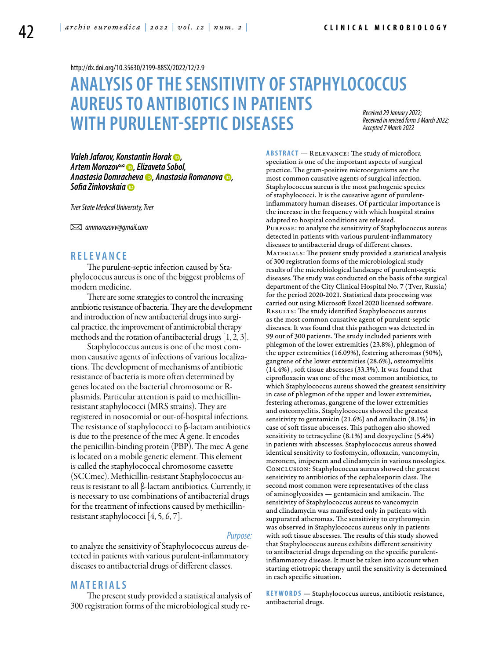<http://dx.doi.org/10.35630/2199-885X/2022/12/2.9>

# **ANALYSIS OF THESENSITIVITY OF STAPHYLOCOCCUS AUREUSTO ANTIBIOTICS IN PATIENTS WITH PURULENT-SEPTIC DISEASES** *Accepted 7 March 2022*

*Received 29 January 2022; Received in revised form 3 March 2022;* 

*Valeh Jafarov, [Konstantin Horak](https://orcid.org/0000-0003-4043-4164) , [Artem Morozov](https://orcid.org/0000-0003-4213-5379) , Elizaveta Sobol, [Anastasia Domracheva](https://orcid.org/0000-0002-1114-9324) , [Anastasia Romanova](https://orcid.org/0000-0002-1114-9324) , [Sofia Zinkovskaia](https://orcid.org/0000-0001-9109-7984)*

*Tver State Medical University, Tver*

 *ammorozovv@gmail.com*

#### **R ele va n ce**

The purulent-septic infection caused by Staphylococcus aureus is one of the biggest problems of modern medicine.

There are some strategies to control the increasing antibiotic resistance of bacteria. They are the development and introduction of new antibacterial drugs into surgical practice, the improvement of antimicrobial therapy methods and the rotation of antibacterial drugs [1, 2, 3].

Staphylococcus aureus is one of the most common causative agents of infections of various localizations. The development of mechanisms of antibiotic resistance of bacteria is more often determined by genes located on the bacterial chromosome or Rplasmids. Particular attention is paid to methicillinresistant staphylococci (MRS strains). They are registered in nosocomial or out-of-hospital infections. The resistance of staphylococci to β-lactam antibiotics is due to the presence of the mec A gene. It encodes the penicillin-binding protein (PBP). The mec A gene is located on a mobile genetic element. This element is called the staphylococcal chromosome cassette (SCCmec). Methicillin-resistant Staphylococcus aureus is resistant to all β-lactam antibiotics. Currently, it is necessary to use combinations of antibacterial drugs for the treatment of infections caused by methicillinresistant staphylococci [4, 5, 6, 7].

#### *Purpose:*

to analyze the sensitivity of Staphylococcus aureus detected in patients with various purulent-inflammatory diseases to antibacterial drugs of different classes.

### **Mat e rials**

The present study provided a statistical analysis of 300 registration forms of the microbiological study re**Abstract** — Relevance: The study of microflora speciation is one of the important aspects of surgical practice. The gram-positive microorganisms are the most common causative agents of surgical infection. Staphylococcus aureus is the most pathogenic species of staphylococci. It is the causative agent of purulentinflammatory human diseases. Of particular importance is the increase in the frequency with which hospital strains adapted to hospital conditions are released. Purpose: to analyze the sensitivity of Staphylococcus aureus detected in patients with various purulent-inflammatory diseases to antibacterial drugs of different classes. MATERIALS: The present study provided a statistical analysis of 300 registration forms of the microbiological study results of the microbiological landscape of purulent-septic diseases. The study was conducted on the basis of the surgical department of the City Clinical Hospital No. 7 (Tver, Russia) for the period 2020-2021. Statistical data processing was carried out using Microsoft Excel 2020 licensed software. RESULTS: The study identified Staphylococcus aureus as the most common causative agent of purulent-septic diseases. It was found that this pathogen was detected in 99 out of 300 patients. The study included patients with phlegmon of the lower extremities (23.8%), phlegmon of the upper extremities (16.09%), festering atheromas (50%), gangrene of the lower extremities (28.6%), osteomyelitis  $(14.4%)$  , soft tissue abscesses (33.3%). It was found that ciprofloxacin was one of the most common antibiotics, to which Staphylococcus aureus showed the greatest sensitivity in case of phlegmon of the upper and lower extremities, festering atheromas, gangrene of the lower extremities and osteomyelitis. Staphylococcus showed the greatest sensitivity to gentamicin (21.6%) and amikacin (8.1%) in case of soft tissue abscesses. This pathogen also showed sensitivity to tetracycline (8.1%) and doxycycline (5.4%) in patients with abscesses. Staphylococcus aureus showed identical sensitivity to fosfomycin, ofloxacin, vancomycin, meronem, imipenem and clindamycin in various nosologies. Conclusion: Staphylococcus aureus showed the greatest sensitivity to antibiotics of the cephalosporin class. The second most common were representatives of the class of aminoglycosides — gentamicin and amikacin. The sensitivity of Staphylococcus aureus to vancomycin and clindamycin was manifested only in patients with suppurated atheromas. The sensitivity to erythromycin was observed in Staphylococcus aureus only in patients with soft tissue abscesses. The results of this study showed that Staphylococcus aureus exhibits different sensitivity to antibacterial drugs depending on the specific purulentinflammatory disease. It must be taken into account when starting etiotropic therapy until the sensitivity is determined in each specific situation.

**K eywords** — Staphylococcus aureus, antibiotic resistance, antibacterial drugs.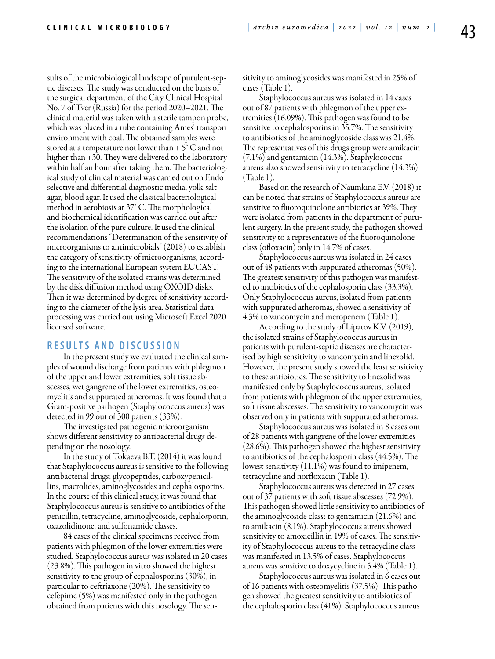sults of the microbiological landscape of purulent-septic diseases. The study was conducted on the basis of the surgical department of the City Clinical Hospital No. 7 of Tver (Russia) for the period 2020–2021. The clinical material was taken with a sterile tampon probe, which was placed in a tube containing Ames' transport environment with coal. The obtained samples were stored at a temperature not lower than  $+5^{\circ}$  C and not higher than +30. They were delivered to the laboratory within half an hour after taking them. The bacteriological study of clinical material was carried out on Endo selective and differential diagnostic media, yolk-salt agar, blood agar. It used the classical bacteriological method in aerobiosis at 37° C. The morphological and biochemical identification was carried out after the isolation of the pure culture. It used the clinical recommendations "Determination of the sensitivity of microorganisms to antimicrobials" (2018) to establish the category of sensitivity of microorganisms, according to the international European system EUCAST. The sensitivity of the isolated strains was determined by the disk diffusion method using OXOID disks. Then it was determined by degree of sensitivity according to the diameter of the lysis area. Statistical data processing was carried out using Microsoft Excel 2020 licensed software.

#### **R e s ult s a n d D iscu s si o n**

In the present study we evaluated the clinical samples of wound discharge from patients with phlegmon of the upper and lower extremities, soft tissue abscesses, wet gangrene of the lower extremities, osteomyelitis and suppurated atheromas. It was found that a Gram-positive pathogen (Staphylococcus aureus) was detected in 99 out of 300 patients (33%).

The investigated pathogenic microorganism shows different sensitivity to antibacterial drugs depending on the nosology.

In the study of Tokaeva B.T. (2014) it was found that Staphylococcus aureus is sensitive to the following antibacterial drugs: glycopeptides, carboxypenicillins, macrolides, aminoglycosides and cephalosporins. In the course of this clinical study, it was found that Staphylococcus aureus is sensitive to antibiotics of the penicillin, tetracycline, aminoglycoside, cephalosporin, oxazolidinone, and sulfonamide classes.

84 cases of the clinical specimens received from patients with phlegmon of the lower extremities were studied. Staphylococcus aureus was isolated in 20 cases (23.8%). This pathogen in vitro showed the highest sensitivity to the group of cephalosporins (30%), in particular to ceftriaxone (20%). The sensitivity to cefepime (5%) was manifested only in the pathogen obtained from patients with this nosology. The sensitivity to aminoglycosides was manifested in 25% of cases (Table 1).

Staphylococcus aureus was isolated in 14 cases out of 87 patients with phlegmon of the upper extremities (16.09%). This pathogen was found to be sensitive to cephalosporins in 35.7%. The sensitivity to antibiotics of the aminoglycoside class was 21.4%. The representatives of this drugs group were amikacin (7.1%) and gentamicin (14.3%). Staphylococcus aureus also showed sensitivity to tetracycline (14.3%) (Table 1).

Based on the research of Naumkina E.V. (2018) it can be noted that strains of Staphylococcus aureus are sensitive to fluoroquinolone antibiotics at 39%. They were isolated from patients in the department of purulent surgery. In the present study, the pathogen showed sensitivity to a representative of the fluoroquinolone class (ofloxacin) only in 14.7% of cases.

Staphylococcus aureus was isolated in 24 cases out of 48 patients with suppurated atheromas (50%). The greatest sensitivity of this pathogen was manifested to antibiotics of the cephalosporin class (33.3%). Only Staphylococcus aureus, isolated from patients with suppurated atheromas, showed a sensitivity of 4.3% to vancomycin and meropenem (Table 1).

According to the study of Lipatov K.V. (2019), the isolated strains of Staphylococcus aureus in patients with purulent-septic diseases are characterised by high sensitivity to vancomycin and linezolid. However, the present study showed the least sensitivity to these antibiotics. The sensitivity to linezolid was manifested only by Staphylococcus aureus, isolated from patients with phlegmon of the upper extremities, soft tissue abscesses. The sensitivity to vancomycin was observed only in patients with suppurated atheromas.

Staphylococcus aureus was isolated in 8 cases out of 28 patients with gangrene of the lower extremities (28.6%). This pathogen showed the highest sensitivity to antibiotics of the cephalosporin class (44.5%). The lowest sensitivity (11.1%) was found to imipenem, tetracycline and norfloxacin (Table 1).

Staphylococcus aureus was detected in 27 cases out of 37 patients with soft tissue abscesses (72.9%). This pathogen showed little sensitivity to antibiotics of the aminoglycoside class: to gentamicin (21.6%) and to amikacin (8.1%). Staphylococcus aureus showed sensitivity to amoxicillin in 19% of cases. The sensitivity of Staphylococcus aureus to the tetracycline class was manifested in 13.5% of cases. Staphylococcus aureus was sensitive to doxycycline in 5.4% (Table 1).

Staphylococcus aureus was isolated in 6 cases out of 16 patients with osteomyelitis (37.5%). This pathogen showed the greatest sensitivity to antibiotics of the cephalosporin class (41%). Staphylococcus aureus